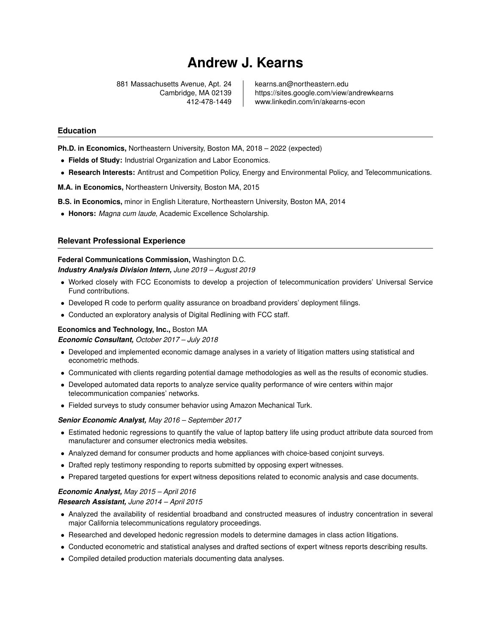# **Andrew J. Kearns**

881 Massachusetts Avenue, Apt. 24 | kearns.an@northeastern.edu

Cambridge, MA 02139 https://sites.google.com/view/andrewkearns 412-478-1449 www.linkedin.com/in/akearns-econ

#### **Education**

**Ph.D. in Economics,** Northeastern University, Boston MA, 2018 – 2022 (expected)

- **Fields of Study:** Industrial Organization and Labor Economics.
- **Research Interests:** Antitrust and Competition Policy, Energy and Environmental Policy, and Telecommunications.

**M.A. in Economics,** Northeastern University, Boston MA, 2015

**B.S. in Economics,** minor in English Literature, Northeastern University, Boston MA, 2014

• **Honors:** *Magna cum laude*, Academic Excellence Scholarship.

#### **Relevant Professional Experience**

# **Federal Communications Commission,** Washington D.C.

*Industry Analysis Division Intern, June 2019 – August 2019*

- Worked closely with FCC Economists to develop a projection of telecommunication providers' Universal Service Fund contributions.
- Developed R code to perform quality assurance on broadband providers' deployment filings.
- Conducted an exploratory analysis of Digital Redlining with FCC staff.

#### **Economics and Technology, Inc.,** Boston MA

*Economic Consultant, October 2017 – July 2018*

- Developed and implemented economic damage analyses in a variety of litigation matters using statistical and econometric methods.
- Communicated with clients regarding potential damage methodologies as well as the results of economic studies.
- Developed automated data reports to analyze service quality performance of wire centers within major telecommunication companies' networks.
- Fielded surveys to study consumer behavior using Amazon Mechanical Turk.

#### *Senior Economic Analyst, May 2016 – September 2017*

- Estimated hedonic regressions to quantify the value of laptop battery life using product attribute data sourced from manufacturer and consumer electronics media websites.
- Analyzed demand for consumer products and home appliances with choice-based conjoint surveys.
- Drafted reply testimony responding to reports submitted by opposing expert witnesses.
- Prepared targeted questions for expert witness depositions related to economic analysis and case documents.

#### *Economic Analyst, May 2015 – April 2016 Research Assistant, June 2014 – April 2015*

- Analyzed the availability of residential broadband and constructed measures of industry concentration in several major California telecommunications regulatory proceedings.
- Researched and developed hedonic regression models to determine damages in class action litigations.
- Conducted econometric and statistical analyses and drafted sections of expert witness reports describing results.
- Compiled detailed production materials documenting data analyses.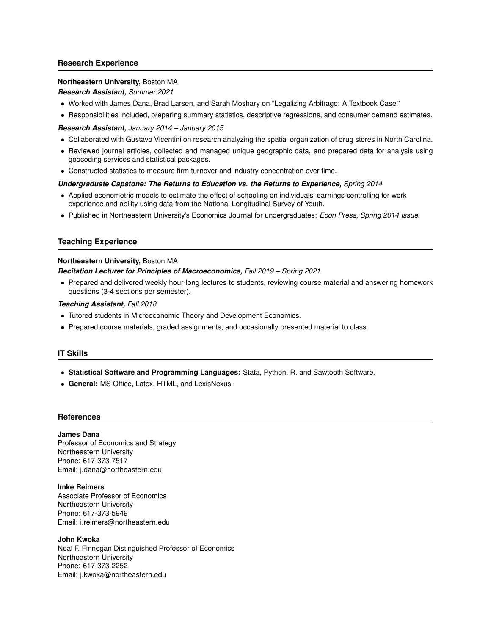# **Research Experience**

## **Northeastern University,** Boston MA

*Research Assistant, Summer 2021*

- Worked with James Dana, Brad Larsen, and Sarah Moshary on "Legalizing Arbitrage: A Textbook Case."
- Responsibilities included, preparing summary statistics, descriptive regressions, and consumer demand estimates.

*Research Assistant, January 2014 – January 2015*

- Collaborated with Gustavo Vicentini on research analyzing the spatial organization of drug stores in North Carolina.
- Reviewed journal articles, collected and managed unique geographic data, and prepared data for analysis using geocoding services and statistical packages.
- Constructed statistics to measure firm turnover and industry concentration over time.

#### *Undergraduate Capstone: The Returns to Education vs. the Returns to Experience, Spring 2014*

- Applied econometric models to estimate the effect of schooling on individuals' earnings controlling for work experience and ability using data from the National Longitudinal Survey of Youth.
- Published in Northeastern University's Economics Journal for undergraduates: *Econ Press, Spring 2014 Issue*.

# **Teaching Experience**

# **Northeastern University,** Boston MA

# *Recitation Lecturer for Principles of Macroeconomics, Fall 2019 – Spring 2021*

• Prepared and delivered weekly hour-long lectures to students, reviewing course material and answering homework questions (3-4 sections per semester).

# *Teaching Assistant, Fall 2018*

- Tutored students in Microeconomic Theory and Development Economics.
- Prepared course materials, graded assignments, and occasionally presented material to class.

# **IT Skills**

- **Statistical Software and Programming Languages:** Stata, Python, R, and Sawtooth Software.
- **General:** MS Office, Latex, HTML, and LexisNexus.

# **References**

#### **James Dana**

Professor of Economics and Strategy Northeastern University Phone: 617-373-7517 Email: j.dana@northeastern.edu

#### **Imke Reimers**

Associate Professor of Economics Northeastern University Phone: 617-373-5949 Email: i.reimers@northeastern.edu

#### **John Kwoka**

Neal F. Finnegan Distinguished Professor of Economics Northeastern University Phone: 617-373-2252 Email: j.kwoka@northeastern.edu